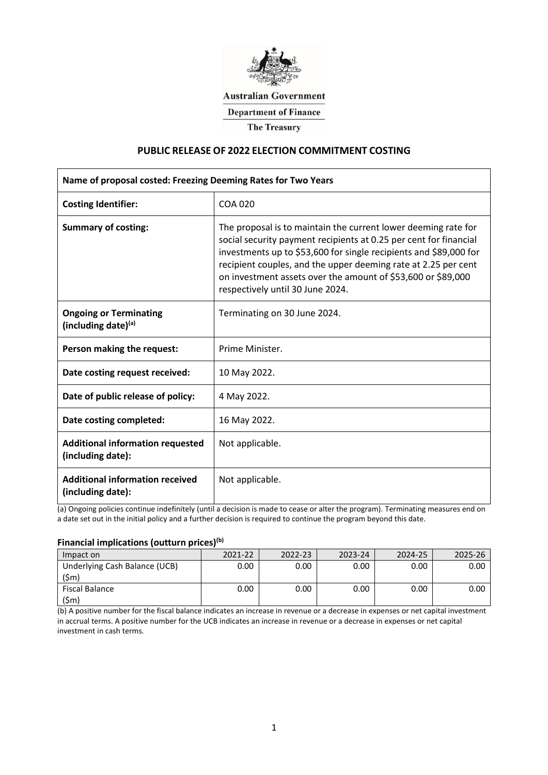

## **Australian Government**

**Department of Finance** 

**The Treasury** 

#### **PUBLIC RELEASE OF 2022 ELECTION COMMITMENT COSTING**

| Name of proposal costed: Freezing Deeming Rates for Two Years |                                                                                                                                                                                                                                                                                                                                                                                |  |  |  |
|---------------------------------------------------------------|--------------------------------------------------------------------------------------------------------------------------------------------------------------------------------------------------------------------------------------------------------------------------------------------------------------------------------------------------------------------------------|--|--|--|
| <b>Costing Identifier:</b>                                    | COA 020                                                                                                                                                                                                                                                                                                                                                                        |  |  |  |
| <b>Summary of costing:</b>                                    | The proposal is to maintain the current lower deeming rate for<br>social security payment recipients at 0.25 per cent for financial<br>investments up to \$53,600 for single recipients and \$89,000 for<br>recipient couples, and the upper deeming rate at 2.25 per cent<br>on investment assets over the amount of \$53,600 or \$89,000<br>respectively until 30 June 2024. |  |  |  |
| <b>Ongoing or Terminating</b><br>(including date) $(a)$       | Terminating on 30 June 2024.                                                                                                                                                                                                                                                                                                                                                   |  |  |  |
| Person making the request:                                    | Prime Minister.                                                                                                                                                                                                                                                                                                                                                                |  |  |  |
| Date costing request received:                                | 10 May 2022.                                                                                                                                                                                                                                                                                                                                                                   |  |  |  |
| Date of public release of policy:                             | 4 May 2022.                                                                                                                                                                                                                                                                                                                                                                    |  |  |  |
| Date costing completed:                                       | 16 May 2022.                                                                                                                                                                                                                                                                                                                                                                   |  |  |  |
| <b>Additional information requested</b><br>(including date):  | Not applicable.                                                                                                                                                                                                                                                                                                                                                                |  |  |  |
| <b>Additional information received</b><br>(including date):   | Not applicable.                                                                                                                                                                                                                                                                                                                                                                |  |  |  |

(a) Ongoing policies continue indefinitely (until a decision is made to cease or alter the program). Terminating measures end on a date set out in the initial policy and a further decision is required to continue the program beyond this date.

#### **Financial implications (outturn prices)(b)**

| Impact on                             | วกวา-วว<br>--------------------------- | 122-23 | 7073-74 | 2024-25 |  |
|---------------------------------------|----------------------------------------|--------|---------|---------|--|
| Underlying Cash Balance (UCB)<br>(5m) | 00.ר                                   | ).00   | ).00    | 0.00    |  |
| iscal Balance                         | 00.ر                                   | ).00   | 00.נ    | 0.00    |  |

(b) A positive number for the fiscal balance indicates an increase in revenue or a decrease in expenses or net capital investment in accrual terms. A positive number for the UCB indicates an increase in revenue or a decrease in expenses or net capital investment in cash terms.